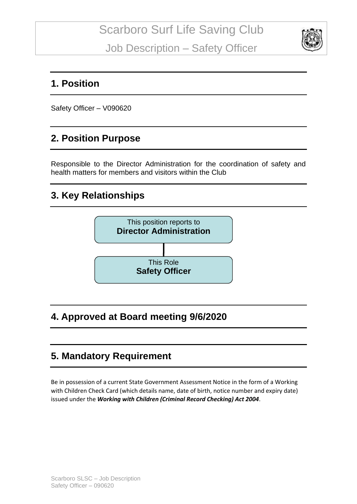

#### **1. Position**

Safety Officer – V090620

#### **2. Position Purpose**

Responsible to the Director Administration for the coordination of safety and health matters for members and visitors within the Club

### **3. Key Relationships**



### **4. Approved at Board meeting 9/6/2020**

### **5. Mandatory Requirement**

Be in possession of a current State Government Assessment Notice in the form of a Working with Children Check Card (which details name, date of birth, notice number and expiry date) issued under the *Working with Children (Criminal Record Checking) Act 2004*.